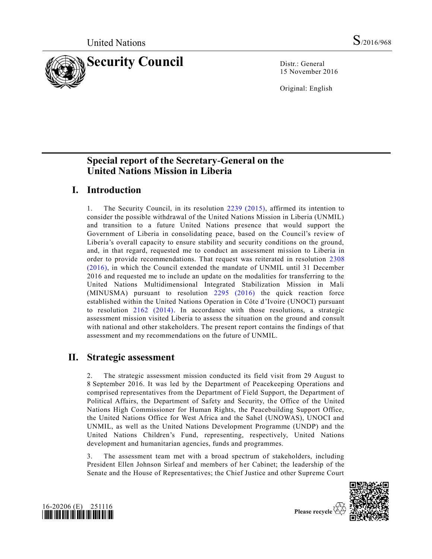

15 November 2016

Original: English

# **Special report of the Secretary-General on the United Nations Mission in Liberia**

# **I. Introduction**

1. The Security Council, in its resolution [2239 \(2015\),](http://undocs.org/S/RES/2239(2015)) affirmed its intention to consider the possible withdrawal of the United Nations Mission in Liberia (UNMIL) and transition to a future United Nations presence that would support the Government of Liberia in consolidating peace, based on the Council's review of Liberia's overall capacity to ensure stability and security conditions on the ground, and, in that regard, requested me to conduct an assessment mission to Liberia in order to provide recommendations. That request was reiterated in resolution [2308](http://undocs.org/S/RES/2308(2016))  [\(2016\),](http://undocs.org/S/RES/2308(2016)) in which the Council extended the mandate of UNMIL until 31 December 2016 and requested me to include an update on the modalities for transferring to the United Nations Multidimensional Integrated Stabilization Mission in Mali (MINUSMA) pursuant to resolution [2295 \(2016\)](http://undocs.org/S/RES/2295(2016)) the quick reaction force established within the United Nations Operation in Côte d'Ivoire (UNOCI) pursuant to resolution [2162 \(2014\).](http://undocs.org/S/RES/2162(2014)) In accordance with those resolutions, a strategic assessment mission visited Liberia to assess the situation on the ground and consult with national and other stakeholders. The present report contains the findings of that assessment and my recommendations on the future of UNMIL.

## **II. Strategic assessment**

2. The strategic assessment mission conducted its field visit from 29 August to 8 September 2016. It was led by the Department of Peacekeeping Operations and comprised representatives from the Department of Field Support, the Department of Political Affairs, the Department of Safety and Security, the Office of the United Nations High Commissioner for Human Rights, the Peacebuilding Support Office, the United Nations Office for West Africa and the Sahel (UNOWAS), UNOCI and UNMIL, as well as the United Nations Development Programme (UNDP) and the United Nations Children's Fund, representing, respectively, United Nations development and humanitarian agencies, funds and programmes.

3. The assessment team met with a broad spectrum of stakeholders, including President Ellen Johnson Sirleaf and members of her Cabinet; the leadership of the Senate and the House of Representatives; the Chief Justice and other Supreme Court



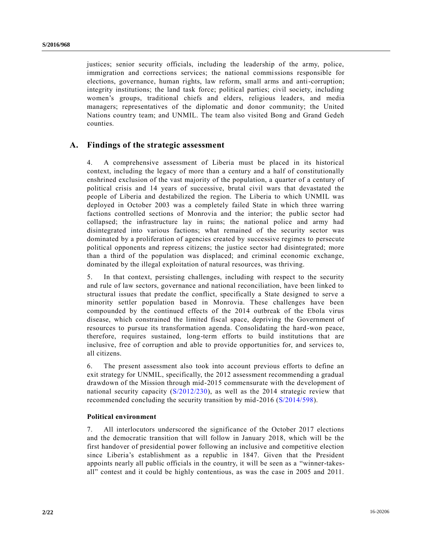justices; senior security officials, including the leadership of the army, police, immigration and corrections services; the national commissions responsible for elections, governance, human rights, law reform, small arms and anti-corruption; integrity institutions; the land task force; political parties; civil society, including women's groups, traditional chiefs and elders, religious leaders, and media managers; representatives of the diplomatic and donor community; the United Nations country team; and UNMIL. The team also visited Bong and Grand Gedeh counties.

## **A. Findings of the strategic assessment**

4. A comprehensive assessment of Liberia must be placed in its historical context, including the legacy of more than a century and a half of constitutionally enshrined exclusion of the vast majority of the population, a quarter of a century of political crisis and 14 years of successive, brutal civil wars that devastated the people of Liberia and destabilized the region. The Liberia to which UNMIL was deployed in October 2003 was a completely failed State in which three warring factions controlled sections of Monrovia and the interior; the public sector had collapsed; the infrastructure lay in ruins; the national police and army had disintegrated into various factions; what remained of the security sector was dominated by a proliferation of agencies created by successive regimes to persecute political opponents and repress citizens; the justice sector had disintegrated; more than a third of the population was displaced; and criminal economic exchange, dominated by the illegal exploitation of natural resources, was thriving.

5. In that context, persisting challenges, including with respect to the security and rule of law sectors, governance and national reconciliation, have been linked to structural issues that predate the conflict, specifically a State designed to serve a minority settler population based in Monrovia. These challenges have been compounded by the continued effects of the 2014 outbreak of the Ebola virus disease, which constrained the limited fiscal space, depriving the Government of resources to pursue its transformation agenda. Consolidating the hard-won peace, therefore, requires sustained, long-term efforts to build institutions that are inclusive, free of corruption and able to provide opportunities for, and services to, all citizens.

6. The present assessment also took into account previous efforts to define an exit strategy for UNMIL, specifically, the 2012 assessment recommending a gradual drawdown of the Mission through mid-2015 commensurate with the development of national security capacity [\(S/2012/230\)](http://undocs.org/S/2012/230), as well as the 2014 strategic review that recommended concluding the security transition by mid-2016 [\(S/2014/598\)](http://undocs.org/S/2014/598).

#### **Political environment**

7. All interlocutors underscored the significance of the October 2017 elections and the democratic transition that will follow in January 2018, which will be the first handover of presidential power following an inclusive and competitive election since Liberia's establishment as a republic in 1847. Given that the President appoints nearly all public officials in the country, it will be seen as a "winner-takesall" contest and it could be highly contentious, as was the case in 2005 and 2011.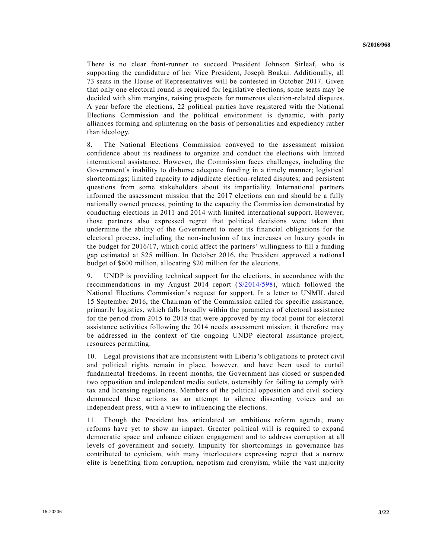There is no clear front-runner to succeed President Johnson Sirleaf, who is supporting the candidature of her Vice President, Joseph Boakai. Additionally, all 73 seats in the House of Representatives will be contested in October 2017. Given that only one electoral round is required for legislative elections, some seats may be decided with slim margins, raising prospects for numerous election-related disputes. A year before the elections, 22 political parties have registered with the National Elections Commission and the political environment is dynamic, with party alliances forming and splintering on the basis of personalities and expediency rather than ideology.

8. The National Elections Commission conveyed to the assessment mission confidence about its readiness to organize and conduct the elections with limited international assistance. However, the Commission faces challenges, including the Government's inability to disburse adequate funding in a timely manner; logistical shortcomings; limited capacity to adjudicate election-related disputes; and persistent questions from some stakeholders about its impartiality. International partners informed the assessment mission that the 2017 elections can and should be a fully nationally owned process, pointing to the capacity the Commission demonstrated by conducting elections in 2011 and 2014 with limited international support. However, those partners also expressed regret that political decisions were taken that undermine the ability of the Government to meet its financial obligations for the electoral process, including the non-inclusion of tax increases on luxury goods in the budget for 2016/17, which could affect the partners' willingness to fill a funding gap estimated at \$25 million. In October 2016, the President approved a nationa l budget of \$600 million, allocating \$20 million for the elections.

9. UNDP is providing technical support for the elections, in accordance with the recommendations in my August 2014 report [\(S/2014/598\)](http://undocs.org/S/2014/598), which followed the National Elections Commission's request for support. In a letter to UNMIL dated 15 September 2016, the Chairman of the Commission called for specific assistance, primarily logistics, which falls broadly within the parameters of electoral assistance for the period from 2015 to 2018 that were approved by my focal point for electoral assistance activities following the 2014 needs assessment mission; it therefore may be addressed in the context of the ongoing UNDP electoral assistance project, resources permitting.

10. Legal provisions that are inconsistent with Liberia's obligations to protect civil and political rights remain in place, however, and have been used to curtail fundamental freedoms. In recent months, the Government has closed or suspended two opposition and independent media outlets, ostensibly for failing to comply with tax and licensing regulations. Members of the political opposition and civil society denounced these actions as an attempt to silence dissenting voices and an independent press, with a view to influencing the elections.

11. Though the President has articulated an ambitious reform agenda, many reforms have yet to show an impact. Greater political will is required to expand democratic space and enhance citizen engagement and to address corruption at all levels of government and society. Impunity for shortcomings in governance has contributed to cynicism, with many interlocutors expressing regret that a narrow elite is benefiting from corruption, nepotism and cronyism, while the vast majority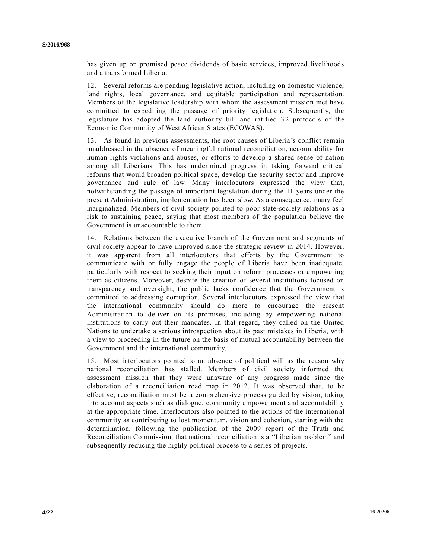has given up on promised peace dividends of basic services, improved livelihoods and a transformed Liberia.

12. Several reforms are pending legislative action, including on domestic violence, land rights, local governance, and equitable participation and representation. Members of the legislative leadership with whom the assessment mission met have committed to expediting the passage of priority legislation. Subsequently, the legislature has adopted the land authority bill and ratified 32 protocols of the Economic Community of West African States (ECOWAS).

13. As found in previous assessments, the root causes of Liberia's conflict remain unaddressed in the absence of meaningful national reconciliation, accountability for human rights violations and abuses, or efforts to develop a shared sense of nation among all Liberians. This has undermined progress in taking forward critical reforms that would broaden political space, develop the security sector and improve governance and rule of law. Many interlocutors expressed the view that, notwithstanding the passage of important legislation during the 11 years under the present Administration, implementation has been slow. As a consequence, many feel marginalized. Members of civil society pointed to poor state-society relations as a risk to sustaining peace, saying that most members of the population believe the Government is unaccountable to them.

14. Relations between the executive branch of the Government and segments of civil society appear to have improved since the strategic review in 2014. However, it was apparent from all interlocutors that efforts by the Government to communicate with or fully engage the people of Liberia have been inadequate, particularly with respect to seeking their input on reform processes or empowering them as citizens. Moreover, despite the creation of several institutions focused on transparency and oversight, the public lacks confidence that the Government is committed to addressing corruption. Several interlocutors expressed the view that the international community should do more to encourage the present Administration to deliver on its promises, including by empowering national institutions to carry out their mandates. In that regard, they called on the United Nations to undertake a serious introspection about its past mistakes in Liberia, with a view to proceeding in the future on the basis of mutual accountability between the Government and the international community.

15. Most interlocutors pointed to an absence of political will as the reason why national reconciliation has stalled. Members of civil society informed the assessment mission that they were unaware of any progress made since the elaboration of a reconciliation road map in 2012. It was observed that, to be effective, reconciliation must be a comprehensive process guided by vision, taking into account aspects such as dialogue, community empowerment and accountability at the appropriate time. Interlocutors also pointed to the actions of the internation al community as contributing to lost momentum, vision and cohesion, starting with the determination, following the publication of the 2009 report of the Truth and Reconciliation Commission, that national reconciliation is a "Liberian problem" and subsequently reducing the highly political process to a series of projects.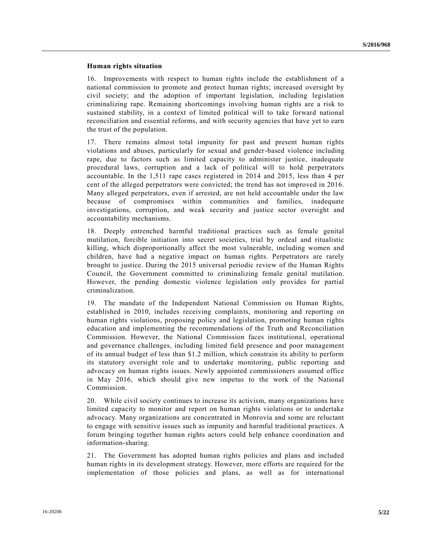#### **Human rights situation**

16. Improvements with respect to human rights include the establishment of a national commission to promote and protect human rights; increased oversight by civil society; and the adoption of important legislation, including legislation criminalizing rape. Remaining shortcomings involving human rights are a risk to sustained stability, in a context of limited political will to take forward national reconciliation and essential reforms, and with security agencies that have yet to earn the trust of the population.

17. There remains almost total impunity for past and present human rights violations and abuses, particularly for sexual and gender-based violence including rape, due to factors such as limited capacity to administer justice, inadequate procedural laws, corruption and a lack of political will to hold perpetrators accountable. In the 1,511 rape cases registered in 2014 and 2015, less than 4 per cent of the alleged perpetrators were convicted; the trend has not improved in 2016. Many alleged perpetrators, even if arrested, are not held accountable under the law because of compromises within communities and families, inadequate investigations, corruption, and weak security and justice sector oversight and accountability mechanisms.

18. Deeply entrenched harmful traditional practices such as female genital mutilation, forcible initiation into secret societies, trial by ordeal and ritualistic killing, which disproportionally affect the most vulnerable, including women and children, have had a negative impact on human rights. Perpetrators are rarely brought to justice. During the 2015 universal periodic review of the Human Rights Council, the Government committed to criminalizing female genital mutilation. However, the pending domestic violence legislation only provides for partial criminalization.

19. The mandate of the Independent National Commission on Human Rights, established in 2010, includes receiving complaints, monitoring and reporting on human rights violations, proposing policy and legislation, promoting human rights education and implementing the recommendations of the Truth and Reconciliation Commission. However, the National Commission faces institutional, operational and governance challenges, including limited field presence and poor management of its annual budget of less than \$1.2 million, which constrain its ability to perform its statutory oversight role and to undertake monitoring, public reporting and advocacy on human rights issues. Newly appointed commissioners assumed office in May 2016, which should give new impetus to the work of the National Commission.

20. While civil society continues to increase its activism, many organizations have limited capacity to monitor and report on human rights violations or to undertake advocacy. Many organizations are concentrated in Monrovia and some are reluctant to engage with sensitive issues such as impunity and harmful traditional practices. A forum bringing together human rights actors could help enhance coordination and information-sharing.

21. The Government has adopted human rights policies and plans and included human rights in its development strategy. However, more efforts are required for the implementation of those policies and plans, as well as for international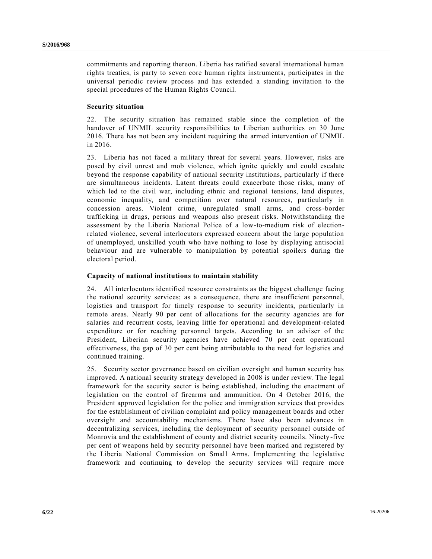commitments and reporting thereon. Liberia has ratified several international human rights treaties, is party to seven core human rights instruments, participates in the universal periodic review process and has extended a standing invitation to the special procedures of the Human Rights Council.

#### **Security situation**

22. The security situation has remained stable since the completion of the handover of UNMIL security responsibilities to Liberian authorities on 30 June 2016. There has not been any incident requiring the armed intervention of UNMIL in 2016.

23. Liberia has not faced a military threat for several years. However, risks are posed by civil unrest and mob violence, which ignite quickly and could escalate beyond the response capability of national security institutions, particularly if there are simultaneous incidents. Latent threats could exacerbate those risks, many of which led to the civil war, including ethnic and regional tensions, land disputes, economic inequality, and competition over natural resources, particularly in concession areas. Violent crime, unregulated small arms, and cross-border trafficking in drugs, persons and weapons also present risks. Notwithstanding the assessment by the Liberia National Police of a low-to-medium risk of electionrelated violence, several interlocutors expressed concern about the large population of unemployed, unskilled youth who have nothing to lose by displaying antisocial behaviour and are vulnerable to manipulation by potential spoilers during the electoral period.

### **Capacity of national institutions to maintain stability**

24. All interlocutors identified resource constraints as the biggest challenge facing the national security services; as a consequence, there are insufficient personnel, logistics and transport for timely response to security incidents, particularly in remote areas. Nearly 90 per cent of allocations for the security agencies are for salaries and recurrent costs, leaving little for operational and development-related expenditure or for reaching personnel targets. According to an adviser of the President, Liberian security agencies have achieved 70 per cent operational effectiveness, the gap of 30 per cent being attributable to the need for logistics and continued training.

25. Security sector governance based on civilian oversight and human security has improved. A national security strategy developed in 2008 is under review. The legal framework for the security sector is being established, including the enactment of legislation on the control of firearms and ammunition. On 4 October 2016, the President approved legislation for the police and immigration services that provides for the establishment of civilian complaint and policy management boards and other oversight and accountability mechanisms. There have also been advances in decentralizing services, including the deployment of security personnel outside of Monrovia and the establishment of county and district security councils. Ninety-five per cent of weapons held by security personnel have been marked and registered by the Liberia National Commission on Small Arms. Implementing the legislative framework and continuing to develop the security services will require more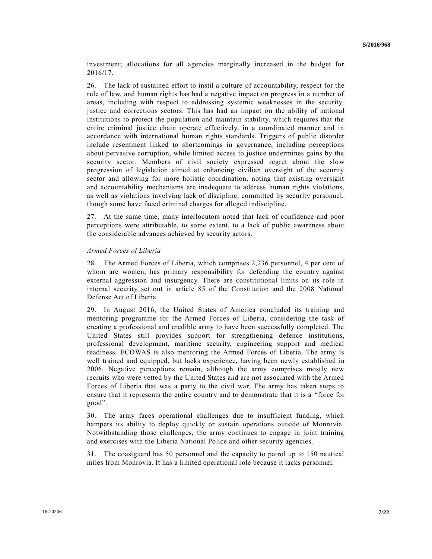investment; allocations for all agencies marginally increased in the budget for 2016/17.

26. The lack of sustained effort to instil a culture of accountability, respect for the rule of law, and human rights has had a negative impact on progress in a number of areas, including with respect to addressing systemic weaknesses in the security, justice and corrections sectors. This has had an impact on the ability of national institutions to protect the population and maintain stability, which requires that the entire criminal justice chain operate effectively, in a coordinated manner and in accordance with international human rights standards. Triggers of public disorder include resentment linked to shortcomings in governance, including perceptions about pervasive corruption, while limited access to justice undermines gains by the security sector. Members of civil society expressed regret about the slow progression of legislation aimed at enhancing civilian oversight of the security sector and allowing for more holistic coordination, noting that existing oversight and accountability mechanisms are inadequate to address human rights violations, as well as violations involving lack of discipline, committed by security personnel, though some have faced criminal charges for alleged indiscipline.

27. At the same time, many interlocutors noted that lack of confidence and poor perceptions were attributable, to some extent, to a lack of public awareness about the considerable advances achieved by security actors.

#### *Armed Forces of Liberia*

28. The Armed Forces of Liberia, which comprises 2,236 personnel, 4 per cent of whom are women, has primary responsibility for defending the country against external aggression and insurgency. There are constitutional limits on its role in internal security set out in article 85 of the Constitution and the 2008 National Defense Act of Liberia.

29. In August 2016, the United States of America concluded its training and mentoring programme for the Armed Forces of Liberia, considering the task of creating a professional and credible army to have been successfully completed. The United States still provides support for strengthening defence institutions, professional development, maritime security, engineering support and medical readiness. ECOWAS is also mentoring the Armed Forces of Liberia. The army is well trained and equipped, but lacks experience, having been newly established in 2006. Negative perceptions remain, although the army comprises mostly new recruits who were vetted by the United States and are not associated with the Armed Forces of Liberia that was a party to the civil war. The army has taken steps to ensure that it represents the entire country and to demonstrate that it is a "force for good".

30. The army faces operational challenges due to insufficient funding, which hampers its ability to deploy quickly or sustain operations outside of Monrovia. Notwithstanding those challenges, the army continues to engage in joint training and exercises with the Liberia National Police and other security agencies.

31. The coastguard has 50 personnel and the capacity to patrol up to 150 nautical miles from Monrovia. It has a limited operational role because it lacks personnel.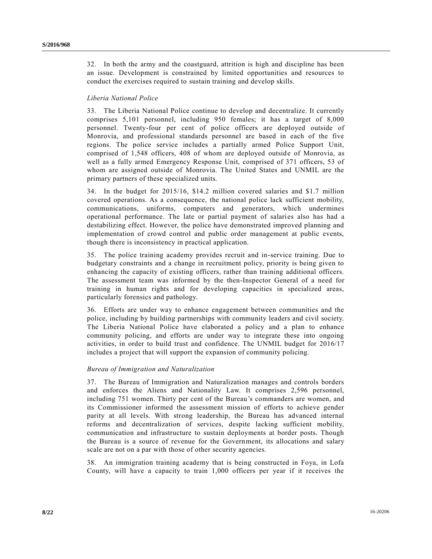32. In both the army and the coastguard, attrition is high and discipline has been an issue. Development is constrained by limited opportunities and resources to conduct the exercises required to sustain training and develop skills.

#### *Liberia National Police*

33. The Liberia National Police continue to develop and decentralize. It currently comprises 5,101 personnel, including 950 females; it has a target of 8,000 personnel. Twenty-four per cent of police officers are deployed outside of Monrovia, and professional standards personnel are based in each of the five regions. The police service includes a partially armed Police Support Unit, comprised of 1,548 officers, 408 of whom are deployed outside of Monrovia, as well as a fully armed Emergency Response Unit, comprised of 371 officers, 53 of whom are assigned outside of Monrovia. The United States and UNMIL are the primary partners of these specialized units.

34. In the budget for 2015/16, \$14.2 million covered salaries and \$1.7 million covered operations. As a consequence, the national police lack sufficient mobility, communications, uniforms, computers and generators, which undermines operational performance. The late or partial payment of salaries also has had a destabilizing effect. However, the police have demonstrated improved planning and implementation of crowd control and public order management at public events, though there is inconsistency in practical application.

35. The police training academy provides recruit and in-service training. Due to budgetary constraints and a change in recruitment policy, priority is being given to enhancing the capacity of existing officers, rather than training additional officers. The assessment team was informed by the then-Inspector General of a need for training in human rights and for developing capacities in specialized areas, particularly forensics and pathology.

36. Efforts are under way to enhance engagement between communities and the police, including by building partnerships with community leaders and civil society. The Liberia National Police have elaborated a policy and a plan to enhance community policing, and efforts are under way to integrate these into ongoing activities, in order to build trust and confidence. The UNMIL budget for 2016/17 includes a project that will support the expansion of community policing.

#### *Bureau of Immigration and Naturalization*

37. The Bureau of Immigration and Naturalization manages and controls borders and enforces the Aliens and Nationality Law. It comprises 2,596 personnel, including 751 women. Thirty per cent of the Bureau's commanders are women, and its Commissioner informed the assessment mission of efforts to achieve gender parity at all levels. With strong leadership, the Bureau has advanced internal reforms and decentralization of services, despite lacking sufficient mobility, communication and infrastructure to sustain deployments at border posts. Though the Bureau is a source of revenue for the Government, its allocations and salary scale are not on a par with those of other security agencies.

38. An immigration training academy that is being constructed in Foya, in Lofa County, will have a capacity to train 1,000 officers per year if it receives the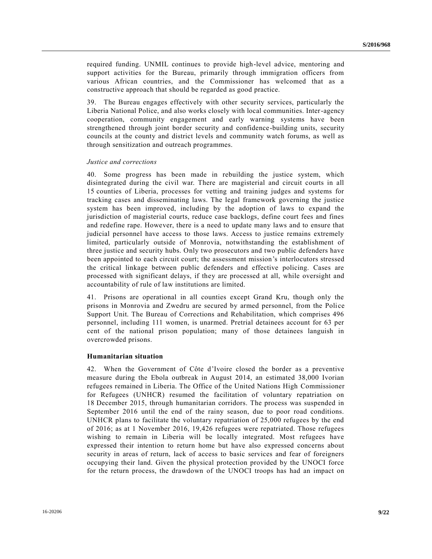required funding. UNMIL continues to provide high-level advice, mentoring and support activities for the Bureau, primarily through immigration officers from various African countries, and the Commissioner has welcomed that as a constructive approach that should be regarded as good practice.

39. The Bureau engages effectively with other security services, particularly the Liberia National Police, and also works closely with local communities. Inter-agency cooperation, community engagement and early warning systems have been strengthened through joint border security and confidence-building units, security councils at the county and district levels and community watch forums, as well as through sensitization and outreach programmes.

#### *Justice and corrections*

40. Some progress has been made in rebuilding the justice system, which disintegrated during the civil war. There are magisterial and circuit courts in all 15 counties of Liberia, processes for vetting and training judges and systems for tracking cases and disseminating laws. The legal framework governing the justice system has been improved, including by the adoption of laws to expand the jurisdiction of magisterial courts, reduce case backlogs, define court fees and fines and redefine rape. However, there is a need to update many laws and to ensure that judicial personnel have access to those laws. Access to justice remains extremely limited, particularly outside of Monrovia, notwithstanding the establishment of three justice and security hubs. Only two prosecutors and two public defenders have been appointed to each circuit court; the assessment mission's interlocutors stressed the critical linkage between public defenders and effective policing. Cases are processed with significant delays, if they are processed at all, while oversight and accountability of rule of law institutions are limited.

41. Prisons are operational in all counties except Grand Kru, though only the prisons in Monrovia and Zwedru are secured by armed personnel, from the Police Support Unit. The Bureau of Corrections and Rehabilitation, which comprises 496 personnel, including 111 women, is unarmed. Pretrial detainees account for 63 per cent of the national prison population; many of those detainees languish in overcrowded prisons.

#### **Humanitarian situation**

42. When the Government of Côte d'Ivoire closed the border as a preventive measure during the Ebola outbreak in August 2014, an estimated 38,000 Ivorian refugees remained in Liberia. The Office of the United Nations High Commissioner for Refugees (UNHCR) resumed the facilitation of voluntary repatriation on 18 December 2015, through humanitarian corridors. The process was suspended in September 2016 until the end of the rainy season, due to poor road conditions. UNHCR plans to facilitate the voluntary repatriation of 25,000 refugees by the end of 2016; as at 1 November 2016, 19,426 refugees were repatriated. Those refugees wishing to remain in Liberia will be locally integrated. Most refugees have expressed their intention to return home but have also expressed concerns about security in areas of return, lack of access to basic services and fear of foreigners occupying their land. Given the physical protection provided by the UNOCI force for the return process, the drawdown of the UNOCI troops has had an impact on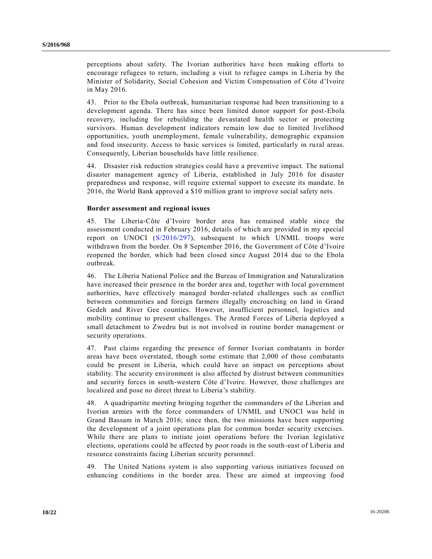perceptions about safety. The Ivorian authorities have been making efforts to encourage refugees to return, including a visit to refugee camps in Liberia by the Minister of Solidarity, Social Cohesion and Victim Compensation of Côte d'Ivoire in May 2016.

43. Prior to the Ebola outbreak, humanitarian response had been transitioning to a development agenda. There has since been limited donor support for post-Ebola recovery, including for rebuilding the devastated health sector or protecting survivors. Human development indicators remain low due to limited livelihood opportunities, youth unemployment, female vulnerability, demographic expansion and food insecurity. Access to basic services is limited, particularly in rural areas. Consequently, Liberian households have little resilience.

44. Disaster risk reduction strategies could have a preventive impact. The national disaster management agency of Liberia, established in July 2016 for disaster preparedness and response, will require external support to execute its mandate. In 2016, the World Bank approved a \$10 million grant to improve social safety nets.

#### **Border assessment and regional issues**

45. The Liberia-Côte d'Ivoire border area has remained stable since the assessment conducted in February 2016, details of which are provided in my special report on UNOCI [\(S/2016/297\)](http://undocs.org/S/2016/297), subsequent to which UNMIL troops were withdrawn from the border. On 8 September 2016, the Government of Côte d'Ivoire reopened the border, which had been closed since August 2014 due to the Ebola outbreak.

46. The Liberia National Police and the Bureau of Immigration and Naturalization have increased their presence in the border area and, together with local government authorities, have effectively managed border-related challenges such as conflict between communities and foreign farmers illegally encroaching on land in Grand Gedeh and River Gee counties. However, insufficient personnel, logistics and mobility continue to present challenges. The Armed Forces of Liberia deployed a small detachment to Zwedru but is not involved in routine border management or security operations.

47. Past claims regarding the presence of former Ivorian combatants in border areas have been overstated, though some estimate that 2,000 of those combatants could be present in Liberia, which could have an impact on perceptions about stability. The security environment is also affected by distrust between communities and security forces in south-western Côte d'Ivoire. However, those challenges are localized and pose no direct threat to Liberia's stability.

48. A quadripartite meeting bringing together the commanders of the Liberian and Ivorian armies with the force commanders of UNMIL and UNOCI was held in Grand Bassam in March 2016; since then, the two missions have been supporting the development of a joint operations plan for common border security exercises. While there are plans to initiate joint operations before the Ivorian legislative elections, operations could be affected by poor roads in the south-east of Liberia and resource constraints facing Liberian security personnel.

49. The United Nations system is also supporting various initiatives focused on enhancing conditions in the border area. These are aimed at improving food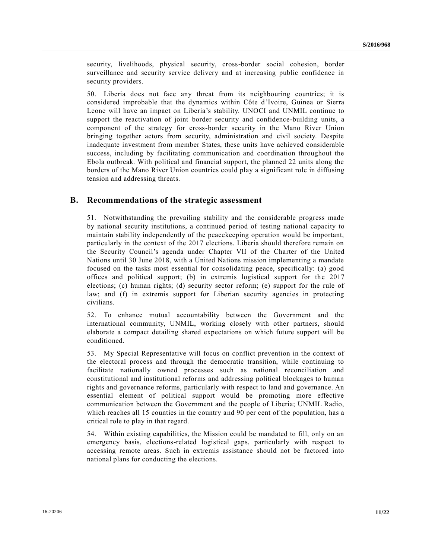security, livelihoods, physical security, cross-border social cohesion, border surveillance and security service delivery and at increasing public confidence in security providers.

50. Liberia does not face any threat from its neighbouring countries; it is considered improbable that the dynamics within Côte d'Ivoire, Guinea or Sierra Leone will have an impact on Liberia's stability. UNOCI and UNMIL continue to support the reactivation of joint border security and confidence-building units, a component of the strategy for cross-border security in the Mano River Union bringing together actors from security, administration and civil society. Despite inadequate investment from member States, these units have achieved considerable success, including by facilitating communication and coordination throughout the Ebola outbreak. With political and financial support, the planned 22 units along the borders of the Mano River Union countries could play a significant role in diffusing tension and addressing threats.

### **B. Recommendations of the strategic assessment**

51. Notwithstanding the prevailing stability and the considerable progress made by national security institutions, a continued period of testing national capacity to maintain stability independently of the peacekeeping operation would be important, particularly in the context of the 2017 elections. Liberia should therefore remain on the Security Council's agenda under Chapter VII of the Charter of the United Nations until 30 June 2018, with a United Nations mission implementing a mandate focused on the tasks most essential for consolidating peace, specifically: (a) good offices and political support; (b) in extremis logistical support for the 2017 elections; (c) human rights; (d) security sector reform; (e) support for the rule of law; and (f) in extremis support for Liberian security agencies in protecting civilians.

52. To enhance mutual accountability between the Government and the international community, UNMIL, working closely with other partners, should elaborate a compact detailing shared expectations on which future support will be conditioned.

53. My Special Representative will focus on conflict prevention in the context of the electoral process and through the democratic transition, while continuing to facilitate nationally owned processes such as national reconciliation and constitutional and institutional reforms and addressing political blockages to human rights and governance reforms, particularly with respect to land and governance. An essential element of political support would be promoting more effective communication between the Government and the people of Liberia; UNMIL Radio, which reaches all 15 counties in the country and 90 per cent of the population, has a critical role to play in that regard.

54. Within existing capabilities, the Mission could be mandated to fill, only on an emergency basis, elections-related logistical gaps, particularly with respect to accessing remote areas. Such in extremis assistance should not be factored into national plans for conducting the elections.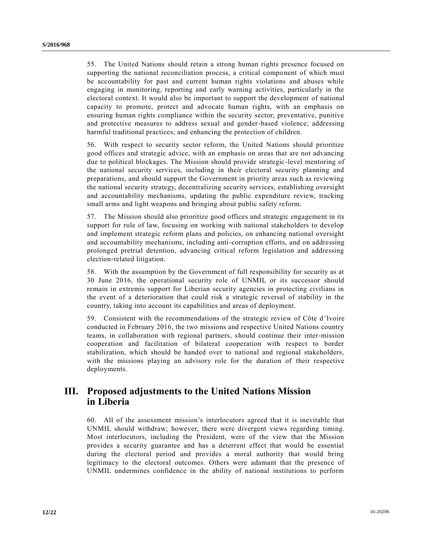55. The United Nations should retain a strong human rights presence focused on supporting the national reconciliation process, a critical component of which must be accountability for past and current human rights violations and abuses while engaging in monitoring, reporting and early warning activities, particularly in the electoral context. It would also be important to support the development of national capacity to promote, protect and advocate human rights, with an emphasis on ensuring human rights compliance within the security sector; preventative, punitive and protective measures to address sexual and gender-based violence; addressing harmful traditional practices; and enhancing the protection of children.

56. With respect to security sector reform, the United Nations should prioritize good offices and strategic advice, with an emphasis on areas that are not advancing due to political blockages. The Mission should provide strategic-level mentoring of the national security services, including in their electoral security planning and preparations, and should support the Government in priority areas such as reviewing the national security strategy, decentralizing security services, establishing oversight and accountability mechanisms, updating the public expenditure review, tracking small arms and light weapons and bringing about public safety reform.

57. The Mission should also prioritize good offices and strategic engagement in its support for rule of law, focusing on working with national stakeholders to develop and implement strategic reform plans and policies, on enhancing national oversight and accountability mechanisms, including anti-corruption efforts, and on addressing prolonged pretrial detention, advancing critical reform legislation and addressing election-related litigation.

58. With the assumption by the Government of full responsibility for security as at 30 June 2016, the operational security role of UNMIL or its successor should remain in extremis support for Liberian security agencies in protecting civilians in the event of a deterioration that could risk a strategic reversal of stability in the country, taking into account its capabilities and areas of deployment.

59. Consistent with the recommendations of the strategic review of Côte d'Ivoire conducted in February 2016, the two missions and respective United Nations country teams, in collaboration with regional partners, should continue their inter-mission cooperation and facilitation of bilateral cooperation with respect to border stabilization, which should be handed over to national and regional stakeholders, with the missions playing an advisory role for the duration of their respective deployments.

# **III. Proposed adjustments to the United Nations Mission in Liberia**

60. All of the assessment mission's interlocutors agreed that it is inevitable that UNMIL should withdraw; however, there were divergent views regarding timing. Most interlocutors, including the President, were of the view that the Mission provides a security guarantee and has a deterrent effect that would be essential during the electoral period and provides a moral authority that would bring legitimacy to the electoral outcomes. Others were adamant that the presence of UNMIL undermines confidence in the ability of national institutions to perform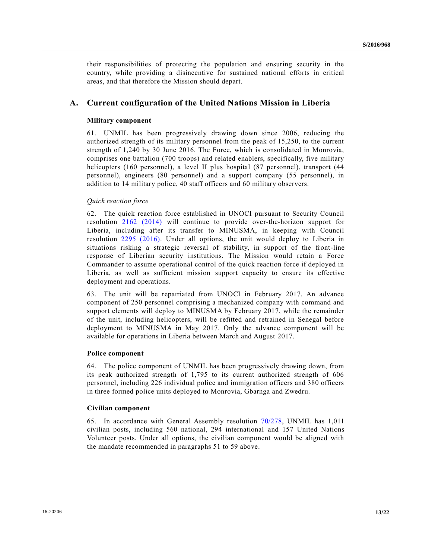their responsibilities of protecting the population and ensuring security in the country, while providing a disincentive for sustained national efforts in critical areas, and that therefore the Mission should depart.

## **A. Current configuration of the United Nations Mission in Liberia**

#### **Military component**

61. UNMIL has been progressively drawing down since 2006, reducing the authorized strength of its military personnel from the peak of 15,250, to the current strength of 1,240 by 30 June 2016. The Force, which is consolidated in Monrovia, comprises one battalion (700 troops) and related enablers, specifically, five military helicopters (160 personnel), a level II plus hospital (87 personnel), transport (44 personnel), engineers (80 personnel) and a support company (55 personnel), in addition to 14 military police, 40 staff officers and 60 military observers.

#### *Quick reaction force*

62. The quick reaction force established in UNOCI pursuant to Security Council resolution [2162 \(2014\)](http://undocs.org/S/RES/2162(2014)) will continue to provide over-the-horizon support for Liberia, including after its transfer to MINUSMA, in keeping with Council resolution [2295 \(2016\).](http://undocs.org/S/RES/2295(2016)) Under all options, the unit would deploy to Liberia in situations risking a strategic reversal of stability, in support of the front-line response of Liberian security institutions. The Mission would retain a Force Commander to assume operational control of the quick reaction force if deployed in Liberia, as well as sufficient mission support capacity to ensure its effective deployment and operations.

63. The unit will be repatriated from UNOCI in February 2017. An advance component of 250 personnel comprising a mechanized company with command and support elements will deploy to MINUSMA by February 2017, while the remainder of the unit, including helicopters, will be refitted and retrained in Senegal before deployment to MINUSMA in May 2017. Only the advance component will be available for operations in Liberia between March and August 2017.

#### **Police component**

64. The police component of UNMIL has been progressively drawing down, from its peak authorized strength of 1,795 to its current authorized strength of 606 personnel, including 226 individual police and immigration officers and 380 officers in three formed police units deployed to Monrovia, Gbarnga and Zwedru.

#### **Civilian component**

65. In accordance with General Assembly resolution [70/278,](http://undocs.org/A/RES/70/278) UNMIL has 1,011 civilian posts, including 560 national, 294 international and 157 United Nations Volunteer posts. Under all options, the civilian component would be aligned with the mandate recommended in paragraphs 51 to 59 above.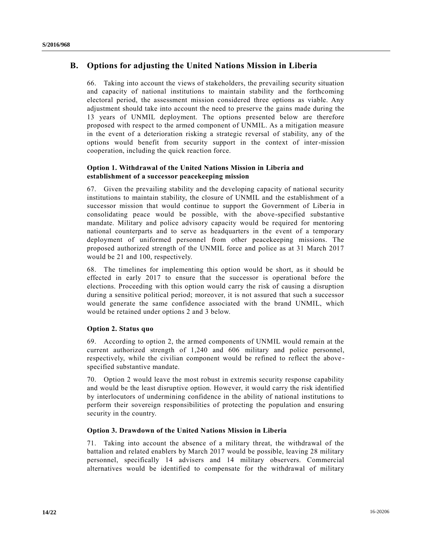## **B. Options for adjusting the United Nations Mission in Liberia**

66. Taking into account the views of stakeholders, the prevailing security situation and capacity of national institutions to maintain stability and the forthcoming electoral period, the assessment mission considered three options as viable. Any adjustment should take into account the need to preserve the gains made during the 13 years of UNMIL deployment. The options presented below are therefore proposed with respect to the armed component of UNMIL. As a mitigation measure in the event of a deterioration risking a strategic reversal of stability, any of the options would benefit from security support in the context of inter-mission cooperation, including the quick reaction force.

### **Option 1. Withdrawal of the United Nations Mission in Liberia and establishment of a successor peacekeeping mission**

67. Given the prevailing stability and the developing capacity of national security institutions to maintain stability, the closure of UNMIL and the establishment of a successor mission that would continue to support the Government of Liberia in consolidating peace would be possible, with the above-specified substantive mandate. Military and police advisory capacity would be required for mentoring national counterparts and to serve as headquarters in the event of a temporary deployment of uniformed personnel from other peacekeeping missions. The proposed authorized strength of the UNMIL force and police as at 31 March 2017 would be 21 and 100, respectively.

68. The timelines for implementing this option would be short, as it should be effected in early 2017 to ensure that the successor is operational before the elections. Proceeding with this option would carry the risk of causing a disruption during a sensitive political period; moreover, it is not assured that such a successor would generate the same confidence associated with the brand UNMIL, which would be retained under options 2 and 3 below.

### **Option 2. Status quo**

69. According to option 2, the armed components of UNMIL would remain at the current authorized strength of 1,240 and 606 military and police personnel, respectively, while the civilian component would be refined to reflect the above specified substantive mandate.

70. Option 2 would leave the most robust in extremis security response capability and would be the least disruptive option. However, it would carry the risk identified by interlocutors of undermining confidence in the ability of national institutions to perform their sovereign responsibilities of protecting the population and ensuring security in the country.

### **Option 3. Drawdown of the United Nations Mission in Liberia**

71. Taking into account the absence of a military threat, the withdrawal of the battalion and related enablers by March 2017 would be possible, leaving 28 military personnel, specifically 14 advisers and 14 military observers. Commercial alternatives would be identified to compensate for the withdrawal of military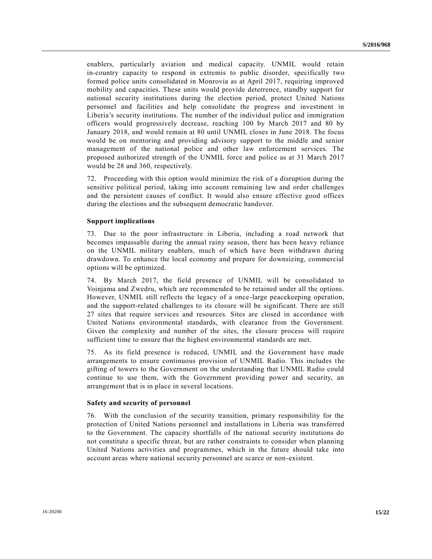enablers, particularly aviation and medical capacity. UNMIL would retain in-country capacity to respond in extremis to public disorder, specifically two formed police units consolidated in Monrovia as at April 2017, requiring improved mobility and capacities. These units would provide deterrence, standby support for national security institutions during the election period, protect United Nations personnel and facilities and help consolidate the progress and investment in Liberia's security institutions. The number of the individual police and immigration officers would progressively decrease, reaching 100 by March 2017 and 80 by January 2018, and would remain at 80 until UNMIL closes in June 2018. The focus would be on mentoring and providing advisory support to the middle and senior management of the national police and other law enforcement services. The proposed authorized strength of the UNMIL force and police as at 31 March 2017 would be 28 and 360, respectively.

72. Proceeding with this option would minimize the risk of a disruption during the sensitive political period, taking into account remaining law and order challenges and the persistent causes of conflict. It would also ensure effective good offices during the elections and the subsequent democratic handover.

#### **Support implications**

73. Due to the poor infrastructure in Liberia, including a road network that becomes impassable during the annual rainy season, there has been heavy reliance on the UNMIL military enablers, much of which have been withdrawn during drawdown. To enhance the local economy and prepare for downsizing, commercial options will be optimized.

74. By March 2017, the field presence of UNMIL will be consolidated to Voinjama and Zwedru, which are recommended to be retained under all the options. However, UNMIL still reflects the legacy of a once-large peacekeeping operation, and the support-related challenges to its closure will be significant. There are still 27 sites that require services and resources. Sites are closed in accordance with United Nations environmental standards, with clearance from the Government. Given the complexity and number of the sites, the closure process will require sufficient time to ensure that the highest environmental standards are met.

75. As its field presence is reduced, UNMIL and the Government have made arrangements to ensure continuous provision of UNMIL Radio. This includes the gifting of towers to the Government on the understanding that UNMIL Radio could continue to use them, with the Government providing power and security, an arrangement that is in place in several locations.

#### **Safety and security of personnel**

76. With the conclusion of the security transition, primary responsibility for the protection of United Nations personnel and installations in Liberia was transferred to the Government. The capacity shortfalls of the national security institutions do not constitute a specific threat, but are rather constraints to consider when planning United Nations activities and programmes, which in the future should take into account areas where national security personnel are scarce or non-existent.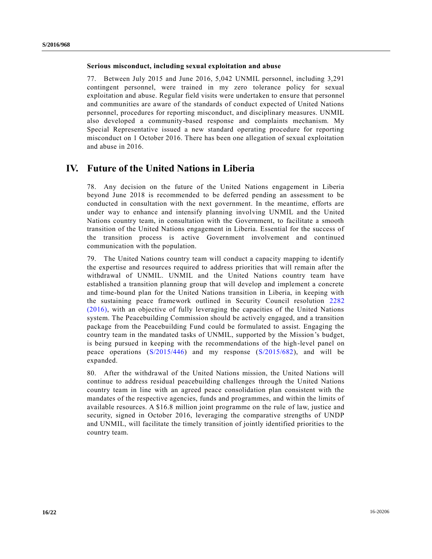#### **Serious misconduct, including sexual exploitation and abuse**

77. Between July 2015 and June 2016, 5,042 UNMIL personnel, including 3,291 contingent personnel, were trained in my zero tolerance policy for sexual exploitation and abuse. Regular field visits were undertaken to ensure that personnel and communities are aware of the standards of conduct expected of United Nations personnel, procedures for reporting misconduct, and disciplinary measures. UNMIL also developed a community-based response and complaints mechanism. My Special Representative issued a new standard operating procedure for reporting misconduct on 1 October 2016. There has been one allegation of sexual exploitation and abuse in 2016.

## **IV. Future of the United Nations in Liberia**

78. Any decision on the future of the United Nations engagement in Liberia beyond June 2018 is recommended to be deferred pending an assessment to be conducted in consultation with the next government. In the meantime, efforts are under way to enhance and intensify planning involving UNMIL and the United Nations country team, in consultation with the Government, to facilitate a smooth transition of the United Nations engagement in Liberia. Essential for the success of the transition process is active Government involvement and continued communication with the population.

79. The United Nations country team will conduct a capacity mapping to identify the expertise and resources required to address priorities that will remain after the withdrawal of UNMIL. UNMIL and the United Nations country team have established a transition planning group that will develop and implement a concrete and time-bound plan for the United Nations transition in Liberia, in keeping with the sustaining peace framework outlined in Security Council resolution [2282](http://undocs.org/S/RES/2282(2016))  [\(2016\),](http://undocs.org/S/RES/2282(2016)) with an objective of fully leveraging the capacities of the United Nations system. The Peacebuilding Commission should be actively engaged, and a transition package from the Peacebuilding Fund could be formulated to assist. Engaging the country team in the mandated tasks of UNMIL, supported by the Mission's budget, is being pursued in keeping with the recommendations of the high-level panel on peace operations [\(S/2015/446\)](http://undocs.org/S/2015/446) and my response [\(S/2015/682\)](http://undocs.org/S/2015/682), and will be expanded.

80. After the withdrawal of the United Nations mission, the United Nations will continue to address residual peacebuilding challenges through the United Nations country team in line with an agreed peace consolidation plan consistent with the mandates of the respective agencies, funds and programmes, and within the limits of available resources. A \$16.8 million joint programme on the rule of law, justice and security, signed in October 2016, leveraging the comparative strengths of UNDP and UNMIL, will facilitate the timely transition of jointly identified priorities to the country team.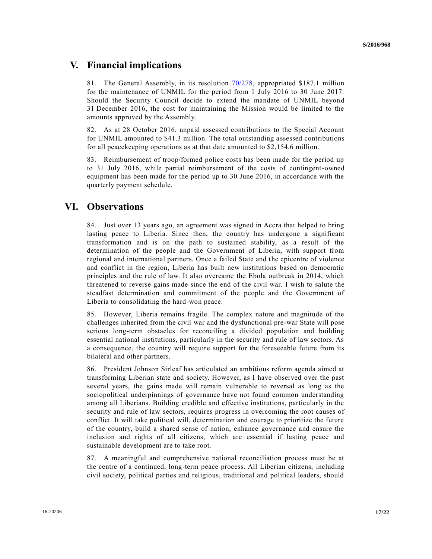## **V. Financial implications**

81. The General Assembly, in its resolution [70/278,](http://undocs.org/A/RES/70/278) appropriated \$187.1 million for the maintenance of UNMIL for the period from 1 July 2016 to 30 June 2017. Should the Security Council decide to extend the mandate of UNMIL beyon d 31 December 2016, the cost for maintaining the Mission would be limited to the amounts approved by the Assembly.

82. As at 28 October 2016, unpaid assessed contributions to the Special Account for UNMIL amounted to \$41.3 million. The total outstanding assessed contributions for all peacekeeping operations as at that date amounted to \$2,154.6 million.

83. Reimbursement of troop/formed police costs has been made for the period up to 31 July 2016, while partial reimbursement of the costs of contingent-owned equipment has been made for the period up to 30 June 2016, in accordance with the quarterly payment schedule.

## **VI. Observations**

84. Just over 13 years ago, an agreement was signed in Accra that helped to bring lasting peace to Liberia. Since then, the country has undergone a significant transformation and is on the path to sustained stability, as a result of the determination of the people and the Government of Liberia, with support from regional and international partners. Once a failed State and the epicentre of violence and conflict in the region, Liberia has built new institutions based on democratic principles and the rule of law. It also overcame the Ebola outbreak in 2014, which threatened to reverse gains made since the end of the civil war. I wish to salute the steadfast determination and commitment of the people and the Government of Liberia to consolidating the hard-won peace.

85. However, Liberia remains fragile. The complex nature and magnitude of the challenges inherited from the civil war and the dysfunctional pre-war State will pose serious long-term obstacles for reconciling a divided population and building essential national institutions, particularly in the security and rule of law sectors. As a consequence, the country will require support for the foreseeable future from its bilateral and other partners.

86. President Johnson Sirleaf has articulated an ambitious reform agenda aimed at transforming Liberian state and society. However, as I have observed over the past several years, the gains made will remain vulnerable to reversal as long as the sociopolitical underpinnings of governance have not found common understanding among all Liberians. Building credible and effective institutions, particularly in the security and rule of law sectors, requires progress in overcoming the root causes of conflict. It will take political will, determination and courage to prioritize the future of the country, build a shared sense of nation, enhance governance and ensure the inclusion and rights of all citizens, which are essential if lasting peace and sustainable development are to take root.

87. A meaningful and comprehensive national reconciliation process must be at the centre of a continued, long-term peace process. All Liberian citizens, including civil society, political parties and religious, traditional and political leaders, should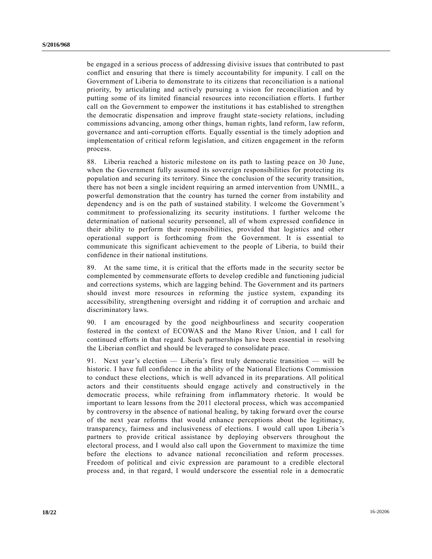be engaged in a serious process of addressing divisive issues that contributed to past conflict and ensuring that there is timely accountability for impunity. I call on the Government of Liberia to demonstrate to its citizens that reconciliation is a national priority, by articulating and actively pursuing a vision for reconciliation and by putting some of its limited financial resources into reconciliation e fforts. I further call on the Government to empower the institutions it has established to strengthen the democratic dispensation and improve fraught state-society relations, including commissions advancing, among other things, human rights, land reform, law reform, governance and anti-corruption efforts. Equally essential is the timely adoption and implementation of critical reform legislation, and citizen engagement in the reform process.

88. Liberia reached a historic milestone on its path to lasting peace on 30 June, when the Government fully assumed its sovereign responsibilities for protecting its population and securing its territory. Since the conclusion of the security transition, there has not been a single incident requiring an armed intervention from UNMIL, a powerful demonstration that the country has turned the corner from instability and dependency and is on the path of sustained stability. I welcome the Government's commitment to professionalizing its security institutions. I further welcome the determination of national security personnel, all of whom expressed confidence in their ability to perform their responsibilities, provided that logistics and other operational support is forthcoming from the Government. It is essential to communicate this significant achievement to the people of Liberia, to build their confidence in their national institutions.

89. At the same time, it is critical that the efforts made in the security sector be complemented by commensurate efforts to develop credible and functioning judicial and corrections systems, which are lagging behind. The Government and its partners should invest more resources in reforming the justice system, expanding its accessibility, strengthening oversight and ridding it of corruption and archaic and discriminatory laws.

90. I am encouraged by the good neighbourliness and security cooperation fostered in the context of ECOWAS and the Mano River Union, and I call for continued efforts in that regard. Such partnerships have been essential in resolving the Liberian conflict and should be leveraged to consolidate peace.

91. Next year's election — Liberia's first truly democratic transition — will be historic. I have full confidence in the ability of the National Elections Commission to conduct these elections, which is well advanced in its preparations. All political actors and their constituents should engage actively and constructively in the democratic process, while refraining from inflammatory rhetoric. It would be important to learn lessons from the 2011 electoral process, which was accompanied by controversy in the absence of national healing, by taking forward over the course of the next year reforms that would enhance perceptions about the legitimacy, transparency, fairness and inclusiveness of elections. I would call upon Liberia 's partners to provide critical assistance by deploying observers throughout the electoral process, and I would also call upon the Government to maximize the time before the elections to advance national reconciliation and reform processes. Freedom of political and civic expression are paramount to a credible electoral process and, in that regard, I would underscore the essential role in a democratic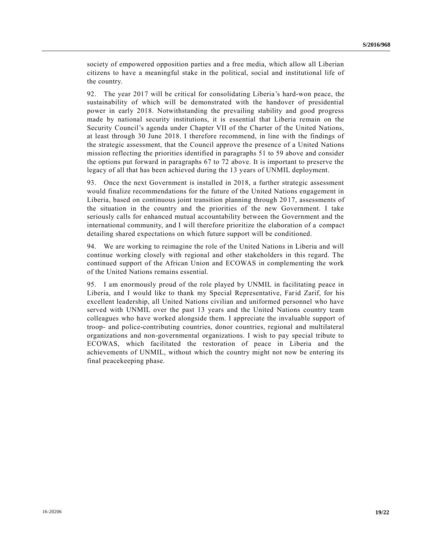society of empowered opposition parties and a free media, which allow all Liberian citizens to have a meaningful stake in the political, social and institutional life of the country.

92. The year 2017 will be critical for consolidating Liberia's hard-won peace, the sustainability of which will be demonstrated with the handover of presidential power in early 2018. Notwithstanding the prevailing stability and good progress made by national security institutions, it is essential that Liberia remain on the Security Council's agenda under Chapter VII of the Charter of the United Nations, at least through 30 June 2018. I therefore recommend, in line with the findings of the strategic assessment, that the Council approve the presence of a United Nations mission reflecting the priorities identified in paragraphs 51 to 59 above and consider the options put forward in paragraphs 67 to 72 above. It is important to preserve the legacy of all that has been achieved during the 13 years of UNMIL deployment.

93. Once the next Government is installed in 2018, a further strategic assessment would finalize recommendations for the future of the United Nations engagement in Liberia, based on continuous joint transition planning through 2017, assessments of the situation in the country and the priorities of the new Government. I take seriously calls for enhanced mutual accountability between the Government and the international community, and I will therefore prioritize the elaboration of a compact detailing shared expectations on which future support will be conditioned.

94. We are working to reimagine the role of the United Nations in Liberia and will continue working closely with regional and other stakeholders in this regard. The continued support of the African Union and ECOWAS in complementing the work of the United Nations remains essential.

95. I am enormously proud of the role played by UNMIL in facilitating peace in Liberia, and I would like to thank my Special Representative, Farid Zarif, for his excellent leadership, all United Nations civilian and uniformed personnel who have served with UNMIL over the past 13 years and the United Nations country team colleagues who have worked alongside them. I appreciate the invaluable support of troop- and police-contributing countries, donor countries, regional and multilateral organizations and non-governmental organizations. I wish to pay special tribute to ECOWAS, which facilitated the restoration of peace in Liberia and the achievements of UNMIL, without which the country might not now be entering its final peacekeeping phase.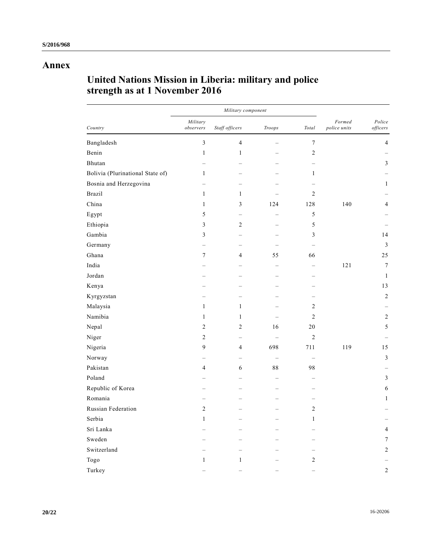# **Annex**

# **United Nations Mission in Liberia: military and police strength as at 1 November 2016**

| Country                          |                          | Military component       |                          |                          |                        |                    |
|----------------------------------|--------------------------|--------------------------|--------------------------|--------------------------|------------------------|--------------------|
|                                  | Military<br>observers    | Staff officers           | Troops                   | Total                    | Formed<br>police units | Police<br>officers |
| Bangladesh                       | 3                        | $\overline{4}$           | -                        | $\tau$                   |                        | $\overline{4}$     |
| Benin                            | $\mathbf{1}$             | $\mathbf{1}$             | $\overline{\phantom{0}}$ | $\overline{c}$           |                        |                    |
| Bhutan                           | -                        | $\overline{\phantom{0}}$ | $\overline{\phantom{0}}$ | -                        |                        | 3                  |
| Bolivia (Plurinational State of) | $\mathbf{1}$             | $\equiv$                 | $\overline{\phantom{0}}$ | $\mathbf{1}$             |                        |                    |
| Bosnia and Herzegovina           | $\equiv$                 | $\equiv$                 | $\qquad \qquad -$        | $\overline{\phantom{0}}$ |                        | $\mathbf{1}$       |
| Brazil                           | $\mathbf{1}$             | $\mathbf{1}$             |                          | $\overline{c}$           |                        |                    |
| China                            | $\mathbf{1}$             | $\mathfrak{Z}$           | 124                      | 128                      | 140                    | $\overline{4}$     |
| Egypt                            | 5                        |                          | -                        | 5                        |                        |                    |
| Ethiopia                         | 3                        | $\sqrt{2}$               | $\equiv$                 | 5                        |                        |                    |
| Gambia                           | 3                        | -                        | $\overline{\phantom{0}}$ | 3                        |                        | 14                 |
| Germany                          |                          | $\overline{\phantom{0}}$ |                          |                          |                        | $\mathfrak{Z}$     |
| Ghana                            | $\tau$                   | $\overline{4}$           | 55                       | 66                       |                        | 25                 |
| India                            |                          |                          |                          |                          | 121                    | $\boldsymbol{7}$   |
| Jordan                           |                          | $\equiv$                 | -                        | —                        |                        | $\mathbf{1}$       |
| Kenya                            |                          |                          |                          |                          |                        | 13                 |
| Kyrgyzstan                       | $\overline{\phantom{0}}$ | $\equiv$                 | $\overline{\phantom{0}}$ | $\overline{\phantom{0}}$ |                        | $\overline{2}$     |
| Malaysia                         | $\mathbf{1}$             | $\mathbf{1}$             | $\overline{\phantom{0}}$ | 2                        |                        |                    |
| Namibia                          | $\mathbf{1}$             | $\mathbf{1}$             | $\overline{\phantom{0}}$ | $\overline{c}$           |                        | $\overline{c}$     |
| Nepal                            | $\overline{c}$           | $\overline{c}$           | 16                       | 20                       |                        | 5                  |
| Niger                            | $\overline{c}$           |                          |                          | $\overline{2}$           |                        |                    |
| Nigeria                          | 9                        | $\overline{4}$           | 698                      | 711                      | 119                    | 15                 |
| Norway                           |                          |                          |                          |                          |                        | 3                  |
| Pakistan                         | $\overline{4}$           | 6                        | 88                       | 98                       |                        |                    |
| Poland                           |                          |                          | $\overline{\phantom{0}}$ |                          |                        | $\mathfrak{Z}$     |
| Republic of Korea                |                          |                          | $\equiv$                 |                          |                        | 6                  |
| Romania                          |                          |                          | $\overline{\phantom{0}}$ | L                        |                        | 1                  |
| Russian Federation               | $\overline{c}$           |                          |                          | $\overline{c}$           |                        |                    |
| Serbia                           | $\mathbf{1}$             | $\equiv$                 | $\equiv$                 | $\mathbf{1}$             |                        |                    |
| Sri Lanka                        |                          |                          | -                        |                          |                        | $\overline{4}$     |
| Sweden                           | <u>.</u>                 | $\equiv$                 | $\overline{\phantom{0}}$ | $\overline{\phantom{0}}$ |                        | 7                  |
| Switzerland                      |                          | $\overline{\phantom{0}}$ |                          | $\overline{\phantom{0}}$ |                        | $\overline{c}$     |
| Togo                             | $\mathbf{1}$             | $\mathbf{1}$             |                          | $\overline{c}$           |                        |                    |
| Turkey                           |                          |                          |                          |                          |                        | $\overline{c}$     |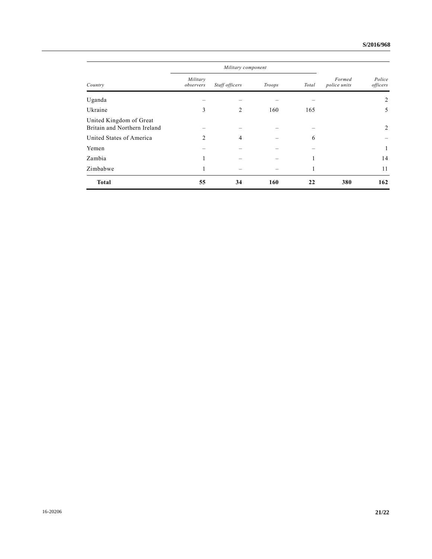| Country                                                 | Military component    |                |        |       |                        |                    |
|---------------------------------------------------------|-----------------------|----------------|--------|-------|------------------------|--------------------|
|                                                         | Military<br>observers | Staff officers | Troops | Total | Formed<br>police units | Police<br>officers |
| Uganda                                                  |                       |                |        |       |                        | 2                  |
| Ukraine                                                 | 3                     | 2              | 160    | 165   |                        | 5                  |
| United Kingdom of Great<br>Britain and Northern Ireland |                       |                |        |       |                        | 2                  |
| United States of America                                | 2                     | 4              |        | 6     |                        |                    |
| Yemen                                                   |                       |                |        |       |                        | 1                  |
| Zambia                                                  |                       |                |        |       |                        | 14                 |
| Zimbabwe                                                |                       |                |        | 1     |                        | 11                 |
| <b>Total</b>                                            | 55                    | 34             | 160    | 22    | 380                    | 162                |